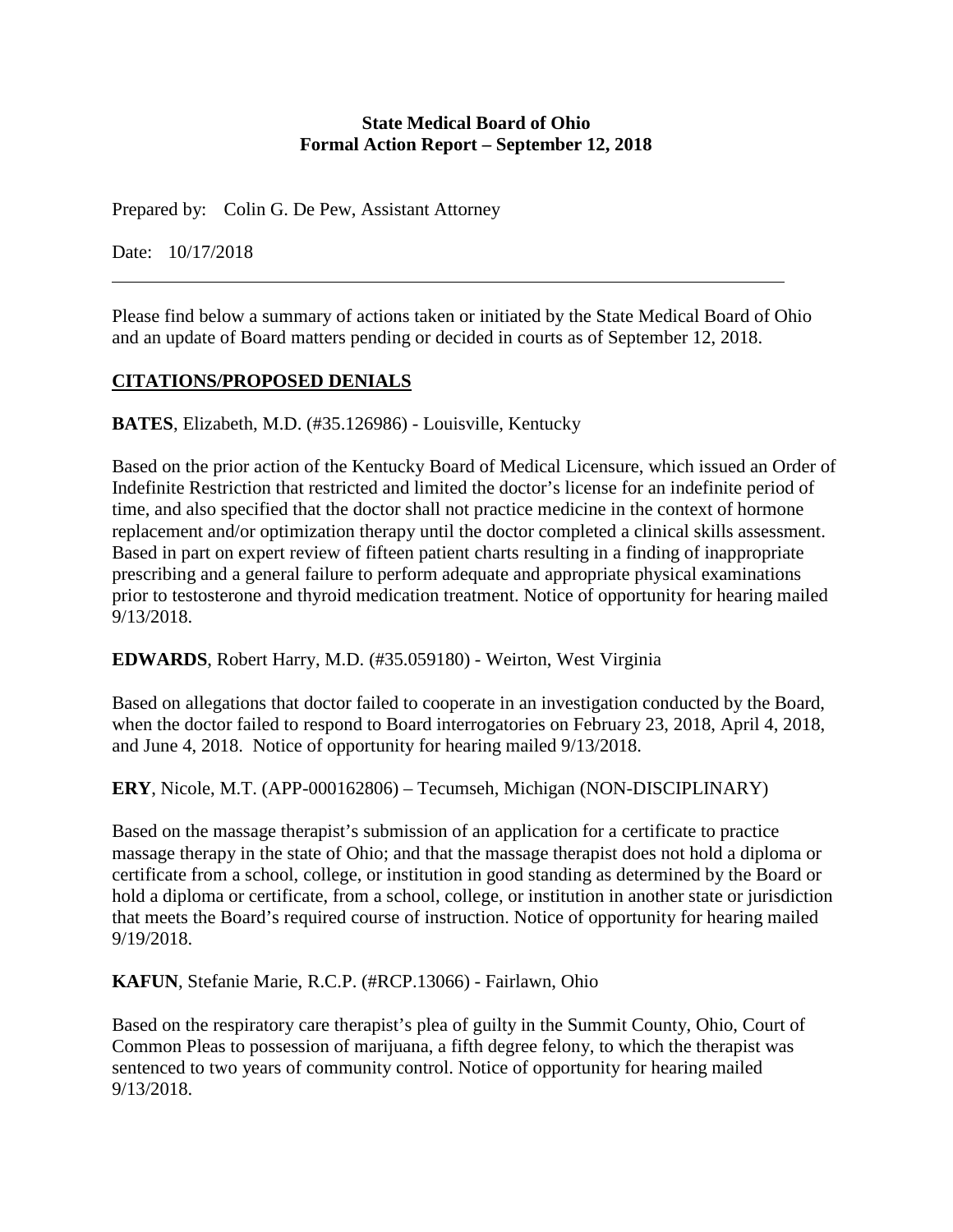#### **State Medical Board of Ohio Formal Action Report – September 12, 2018**

Prepared by: Colin G. De Pew, Assistant Attorney

Date: 10/17/2018

Please find below a summary of actions taken or initiated by the State Medical Board of Ohio and an update of Board matters pending or decided in courts as of September 12, 2018.

# **CITATIONS/PROPOSED DENIALS**

**BATES**, Elizabeth, M.D. (#35.126986) - Louisville, Kentucky

Based on the prior action of the Kentucky Board of Medical Licensure, which issued an Order of Indefinite Restriction that restricted and limited the doctor's license for an indefinite period of time, and also specified that the doctor shall not practice medicine in the context of hormone replacement and/or optimization therapy until the doctor completed a clinical skills assessment. Based in part on expert review of fifteen patient charts resulting in a finding of inappropriate prescribing and a general failure to perform adequate and appropriate physical examinations prior to testosterone and thyroid medication treatment. Notice of opportunity for hearing mailed 9/13/2018.

# **EDWARDS**, Robert Harry, M.D. (#35.059180) - Weirton, West Virginia

Based on allegations that doctor failed to cooperate in an investigation conducted by the Board, when the doctor failed to respond to Board interrogatories on February 23, 2018, April 4, 2018, and June 4, 2018. Notice of opportunity for hearing mailed 9/13/2018.

**ERY**, Nicole, M.T. (APP-000162806) – Tecumseh, Michigan (NON-DISCIPLINARY)

Based on the massage therapist's submission of an application for a certificate to practice massage therapy in the state of Ohio; and that the massage therapist does not hold a diploma or certificate from a school, college, or institution in good standing as determined by the Board or hold a diploma or certificate, from a school, college, or institution in another state or jurisdiction that meets the Board's required course of instruction. Notice of opportunity for hearing mailed 9/19/2018.

**KAFUN**, Stefanie Marie, R.C.P. (#RCP.13066) - Fairlawn, Ohio

Based on the respiratory care therapist's plea of guilty in the Summit County, Ohio, Court of Common Pleas to possession of marijuana, a fifth degree felony, to which the therapist was sentenced to two years of community control. Notice of opportunity for hearing mailed 9/13/2018.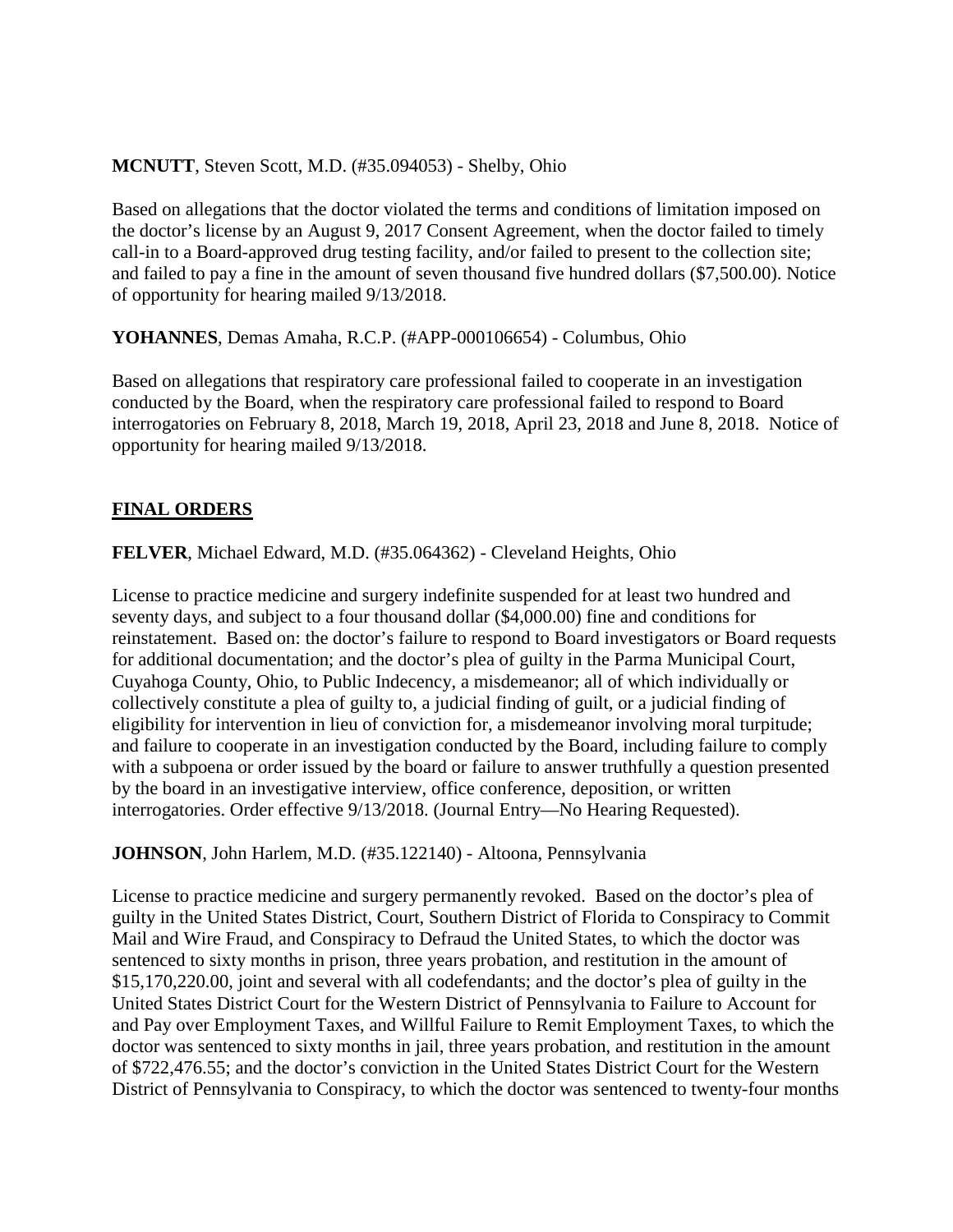#### **MCNUTT**, Steven Scott, M.D. (#35.094053) - Shelby, Ohio

Based on allegations that the doctor violated the terms and conditions of limitation imposed on the doctor's license by an August 9, 2017 Consent Agreement, when the doctor failed to timely call-in to a Board-approved drug testing facility, and/or failed to present to the collection site; and failed to pay a fine in the amount of seven thousand five hundred dollars (\$7,500.00). Notice of opportunity for hearing mailed 9/13/2018.

**YOHANNES**, Demas Amaha, R.C.P. (#APP-000106654) - Columbus, Ohio

Based on allegations that respiratory care professional failed to cooperate in an investigation conducted by the Board, when the respiratory care professional failed to respond to Board interrogatories on February 8, 2018, March 19, 2018, April 23, 2018 and June 8, 2018. Notice of opportunity for hearing mailed 9/13/2018.

#### **FINAL ORDERS**

**FELVER**, Michael Edward, M.D. (#35.064362) - Cleveland Heights, Ohio

License to practice medicine and surgery indefinite suspended for at least two hundred and seventy days, and subject to a four thousand dollar (\$4,000.00) fine and conditions for reinstatement. Based on: the doctor's failure to respond to Board investigators or Board requests for additional documentation; and the doctor's plea of guilty in the Parma Municipal Court, Cuyahoga County, Ohio, to Public Indecency, a misdemeanor; all of which individually or collectively constitute a plea of guilty to, a judicial finding of guilt, or a judicial finding of eligibility for intervention in lieu of conviction for, a misdemeanor involving moral turpitude; and failure to cooperate in an investigation conducted by the Board, including failure to comply with a subpoena or order issued by the board or failure to answer truthfully a question presented by the board in an investigative interview, office conference, deposition, or written interrogatories. Order effective 9/13/2018. (Journal Entry—No Hearing Requested).

#### **JOHNSON**, John Harlem, M.D. (#35.122140) - Altoona, Pennsylvania

License to practice medicine and surgery permanently revoked. Based on the doctor's plea of guilty in the United States District, Court, Southern District of Florida to Conspiracy to Commit Mail and Wire Fraud, and Conspiracy to Defraud the United States, to which the doctor was sentenced to sixty months in prison, three years probation, and restitution in the amount of \$15,170,220.00, joint and several with all codefendants; and the doctor's plea of guilty in the United States District Court for the Western District of Pennsylvania to Failure to Account for and Pay over Employment Taxes, and Willful Failure to Remit Employment Taxes, to which the doctor was sentenced to sixty months in jail, three years probation, and restitution in the amount of \$722,476.55; and the doctor's conviction in the United States District Court for the Western District of Pennsylvania to Conspiracy, to which the doctor was sentenced to twenty-four months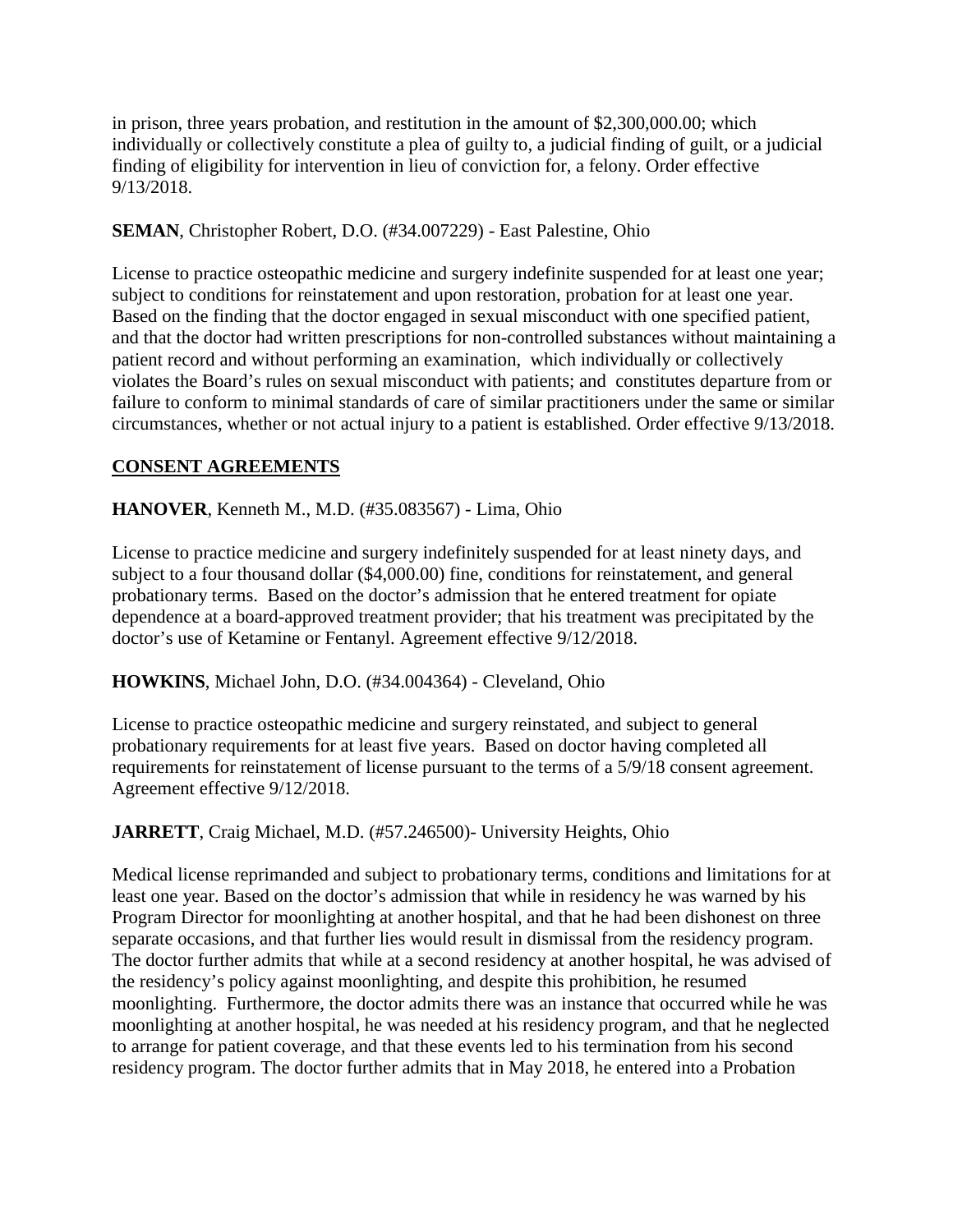in prison, three years probation, and restitution in the amount of \$2,300,000.00; which individually or collectively constitute a plea of guilty to, a judicial finding of guilt, or a judicial finding of eligibility for intervention in lieu of conviction for, a felony. Order effective 9/13/2018.

### **SEMAN**, Christopher Robert, D.O. (#34.007229) - East Palestine, Ohio

License to practice osteopathic medicine and surgery indefinite suspended for at least one year; subject to conditions for reinstatement and upon restoration, probation for at least one year. Based on the finding that the doctor engaged in sexual misconduct with one specified patient, and that the doctor had written prescriptions for non-controlled substances without maintaining a patient record and without performing an examination, which individually or collectively violates the Board's rules on sexual misconduct with patients; and constitutes departure from or failure to conform to minimal standards of care of similar practitioners under the same or similar circumstances, whether or not actual injury to a patient is established. Order effective 9/13/2018.

# **CONSENT AGREEMENTS**

# **HANOVER**, Kenneth M., M.D. (#35.083567) - Lima, Ohio

License to practice medicine and surgery indefinitely suspended for at least ninety days, and subject to a four thousand dollar (\$4,000.00) fine, conditions for reinstatement, and general probationary terms. Based on the doctor's admission that he entered treatment for opiate dependence at a board-approved treatment provider; that his treatment was precipitated by the doctor's use of Ketamine or Fentanyl. Agreement effective 9/12/2018.

#### **HOWKINS**, Michael John, D.O. (#34.004364) - Cleveland, Ohio

License to practice osteopathic medicine and surgery reinstated, and subject to general probationary requirements for at least five years. Based on doctor having completed all requirements for reinstatement of license pursuant to the terms of a 5/9/18 consent agreement. Agreement effective 9/12/2018.

# **JARRETT**, Craig Michael, M.D. (#57.246500)- University Heights, Ohio

Medical license reprimanded and subject to probationary terms, conditions and limitations for at least one year. Based on the doctor's admission that while in residency he was warned by his Program Director for moonlighting at another hospital, and that he had been dishonest on three separate occasions, and that further lies would result in dismissal from the residency program. The doctor further admits that while at a second residency at another hospital, he was advised of the residency's policy against moonlighting, and despite this prohibition, he resumed moonlighting. Furthermore, the doctor admits there was an instance that occurred while he was moonlighting at another hospital, he was needed at his residency program, and that he neglected to arrange for patient coverage, and that these events led to his termination from his second residency program. The doctor further admits that in May 2018, he entered into a Probation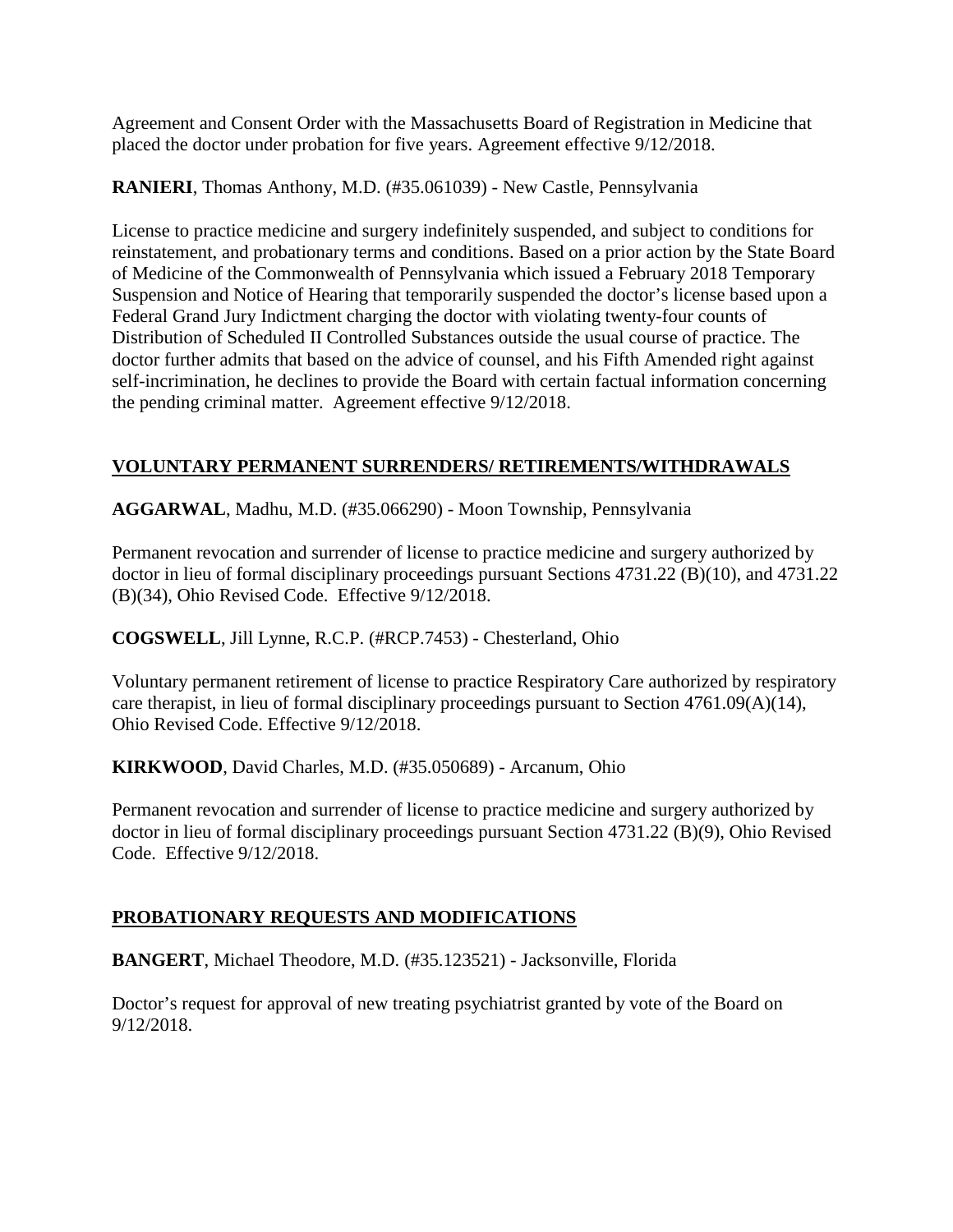Agreement and Consent Order with the Massachusetts Board of Registration in Medicine that placed the doctor under probation for five years. Agreement effective 9/12/2018.

**RANIERI**, Thomas Anthony, M.D. (#35.061039) - New Castle, Pennsylvania

License to practice medicine and surgery indefinitely suspended, and subject to conditions for reinstatement, and probationary terms and conditions. Based on a prior action by the State Board of Medicine of the Commonwealth of Pennsylvania which issued a February 2018 Temporary Suspension and Notice of Hearing that temporarily suspended the doctor's license based upon a Federal Grand Jury Indictment charging the doctor with violating twenty-four counts of Distribution of Scheduled II Controlled Substances outside the usual course of practice. The doctor further admits that based on the advice of counsel, and his Fifth Amended right against self-incrimination, he declines to provide the Board with certain factual information concerning the pending criminal matter. Agreement effective 9/12/2018.

# **VOLUNTARY PERMANENT SURRENDERS/ RETIREMENTS/WITHDRAWALS**

**AGGARWAL**, Madhu, M.D. (#35.066290) - Moon Township, Pennsylvania

Permanent revocation and surrender of license to practice medicine and surgery authorized by doctor in lieu of formal disciplinary proceedings pursuant Sections 4731.22 (B)(10), and 4731.22 (B)(34), Ohio Revised Code. Effective 9/12/2018.

**COGSWELL**, Jill Lynne, R.C.P. (#RCP.7453) - Chesterland, Ohio

Voluntary permanent retirement of license to practice Respiratory Care authorized by respiratory care therapist, in lieu of formal disciplinary proceedings pursuant to Section  $4761.09(A)(14)$ , Ohio Revised Code. Effective 9/12/2018.

**KIRKWOOD**, David Charles, M.D. (#35.050689) - Arcanum, Ohio

Permanent revocation and surrender of license to practice medicine and surgery authorized by doctor in lieu of formal disciplinary proceedings pursuant Section 4731.22 (B)(9), Ohio Revised Code. Effective 9/12/2018.

# **PROBATIONARY REQUESTS AND MODIFICATIONS**

**BANGERT**, Michael Theodore, M.D. (#35.123521) - Jacksonville, Florida

Doctor's request for approval of new treating psychiatrist granted by vote of the Board on 9/12/2018.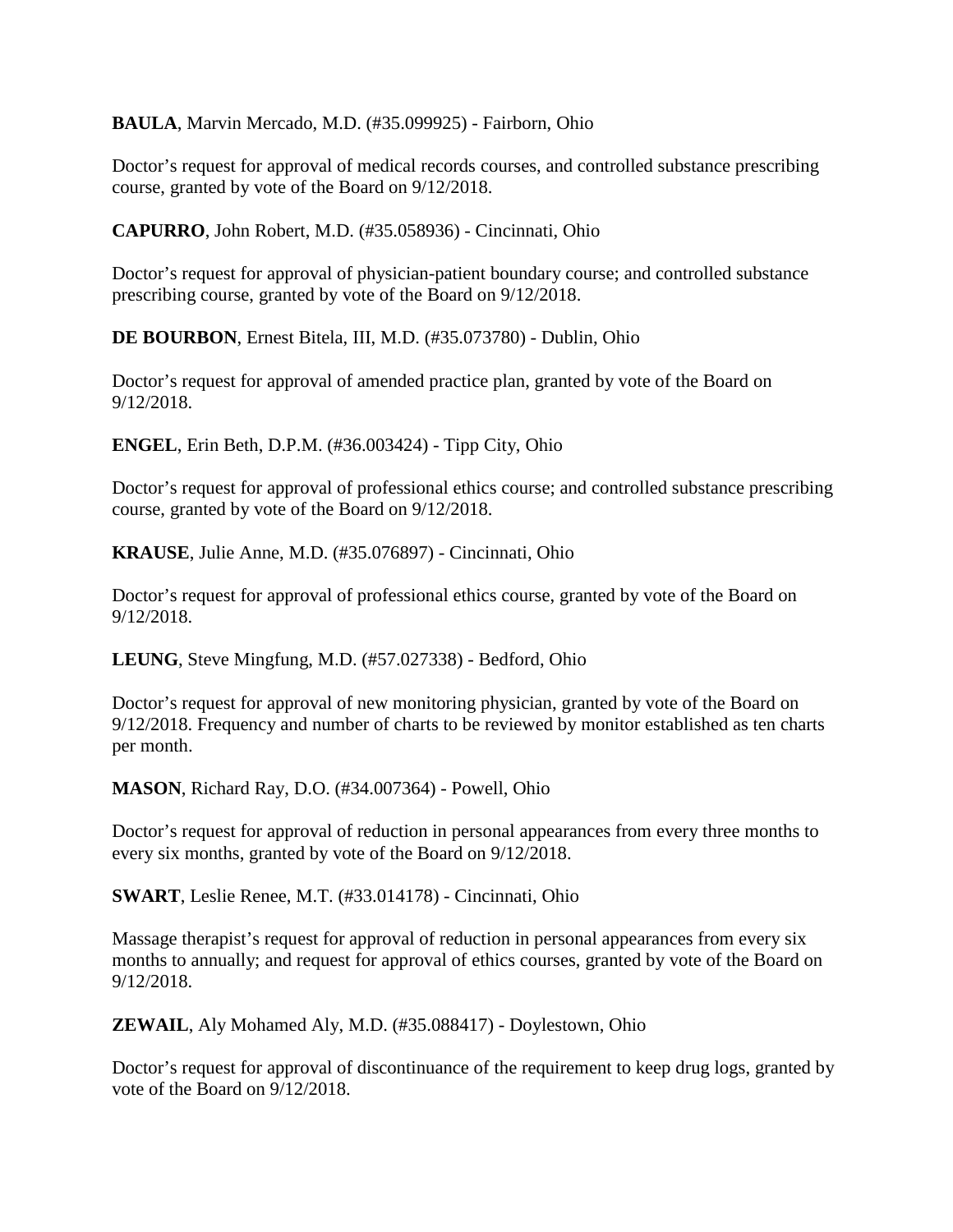**BAULA**, Marvin Mercado, M.D. (#35.099925) - Fairborn, Ohio

Doctor's request for approval of medical records courses, and controlled substance prescribing course, granted by vote of the Board on 9/12/2018.

**CAPURRO**, John Robert, M.D. (#35.058936) - Cincinnati, Ohio

Doctor's request for approval of physician-patient boundary course; and controlled substance prescribing course, granted by vote of the Board on 9/12/2018.

**DE BOURBON**, Ernest Bitela, III, M.D. (#35.073780) - Dublin, Ohio

Doctor's request for approval of amended practice plan, granted by vote of the Board on 9/12/2018.

**ENGEL**, Erin Beth, D.P.M. (#36.003424) - Tipp City, Ohio

Doctor's request for approval of professional ethics course; and controlled substance prescribing course, granted by vote of the Board on 9/12/2018.

**KRAUSE**, Julie Anne, M.D. (#35.076897) - Cincinnati, Ohio

Doctor's request for approval of professional ethics course, granted by vote of the Board on 9/12/2018.

**LEUNG**, Steve Mingfung, M.D. (#57.027338) - Bedford, Ohio

Doctor's request for approval of new monitoring physician, granted by vote of the Board on 9/12/2018. Frequency and number of charts to be reviewed by monitor established as ten charts per month.

**MASON**, Richard Ray, D.O. (#34.007364) - Powell, Ohio

Doctor's request for approval of reduction in personal appearances from every three months to every six months, granted by vote of the Board on 9/12/2018.

**SWART**, Leslie Renee, M.T. (#33.014178) - Cincinnati, Ohio

Massage therapist's request for approval of reduction in personal appearances from every six months to annually; and request for approval of ethics courses, granted by vote of the Board on 9/12/2018.

**ZEWAIL**, Aly Mohamed Aly, M.D. (#35.088417) - Doylestown, Ohio

Doctor's request for approval of discontinuance of the requirement to keep drug logs, granted by vote of the Board on 9/12/2018.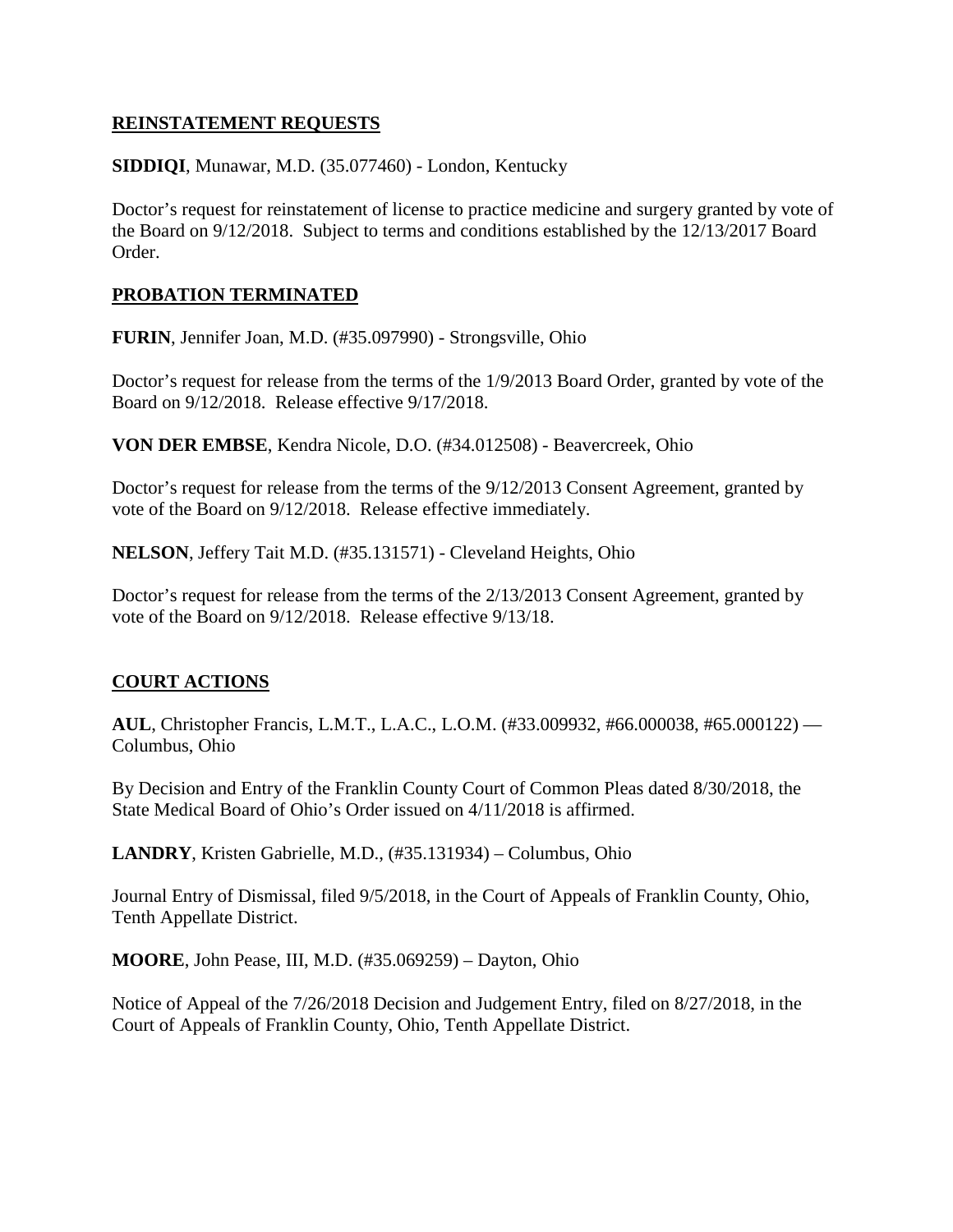### **REINSTATEMENT REQUESTS**

**SIDDIQI**, Munawar, M.D. (35.077460) - London, Kentucky

Doctor's request for reinstatement of license to practice medicine and surgery granted by vote of the Board on 9/12/2018. Subject to terms and conditions established by the 12/13/2017 Board Order.

### **PROBATION TERMINATED**

**FURIN**, Jennifer Joan, M.D. (#35.097990) - Strongsville, Ohio

Doctor's request for release from the terms of the 1/9/2013 Board Order, granted by vote of the Board on 9/12/2018. Release effective 9/17/2018.

**VON DER EMBSE**, Kendra Nicole, D.O. (#34.012508) - Beavercreek, Ohio

Doctor's request for release from the terms of the 9/12/2013 Consent Agreement, granted by vote of the Board on 9/12/2018. Release effective immediately.

**NELSON**, Jeffery Tait M.D. (#35.131571) - Cleveland Heights, Ohio

Doctor's request for release from the terms of the 2/13/2013 Consent Agreement, granted by vote of the Board on 9/12/2018. Release effective 9/13/18.

# **COURT ACTIONS**

**AUL**, Christopher Francis, L.M.T., L.A.C., L.O.M. (#33.009932, #66.000038, #65.000122) — Columbus, Ohio

By Decision and Entry of the Franklin County Court of Common Pleas dated 8/30/2018, the State Medical Board of Ohio's Order issued on 4/11/2018 is affirmed.

**LANDRY**, Kristen Gabrielle, M.D., (#35.131934) – Columbus, Ohio

Journal Entry of Dismissal, filed 9/5/2018, in the Court of Appeals of Franklin County, Ohio, Tenth Appellate District.

**MOORE**, John Pease, III, M.D. (#35.069259) – Dayton, Ohio

Notice of Appeal of the 7/26/2018 Decision and Judgement Entry, filed on 8/27/2018, in the Court of Appeals of Franklin County, Ohio, Tenth Appellate District.